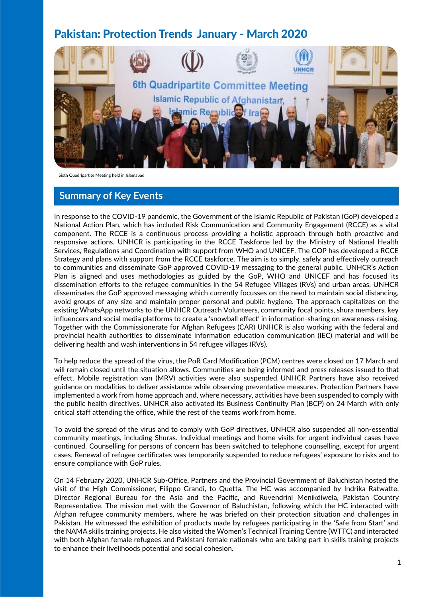# Pakistan: Protection Trends January - March 2020



Sixth Quadripartite Meeting held in Islamabad

#### **Summary of Key Events**

In response to the COVID-19 pandemic, the Government of the Islamic Republic of Pakistan (GoP) developed a National Action Plan, which has included Risk Communication and Community Engagement (RCCE) as a vital component. The RCCE is a continuous process providing a holistic approach through both proactive and responsive actions. UNHCR is participating in the RCCE Taskforce led by the Ministry of National Health Services, Regulations and Coordination with support from WHO and UNICEF. The GOP has developed a RCCE Strategy and plans with support from the RCCE taskforce. The aim is to simply, safely and effectively outreach to communities and disseminate GoP approved COVID-19 messaging to the general public. UNHCR's Action Plan is aligned and uses methodologies as guided by the GoP, WHO and UNICEF and has focused its dissemination efforts to the refugee communities in the 54 Refugee Villages (RVs) and urban areas. UNHCR disseminates the GoP approved messaging which currently focusses on the need to maintain social distancing, avoid groups of any size and maintain proper personal and public hygiene. The approach capitalizes on the existing WhatsApp networks to the UNHCR Outreach Volunteers, community focal points, shura members, key influencers and social media platforms to create a 'snowball effect' in information-sharing on awareness-raising. Together with the Commissionerate for Afghan Refugees (CAR) UNHCR is also working with the federal and provincial health authorities to disseminate information education communication (IEC) material and will be delivering health and wash interventions in 54 refugee villages (RVs).

To help reduce the spread of the virus, the PoR Card Modification (PCM) centres were closed on 17 March and will remain closed until the situation allows. Communities are being informed and press releases issued to that effect. Mobile registration van (MRV) activities were also suspended. UNHCR Partners have also received guidance on modalities to deliver assistance while observing preventative measures. Protection Partners have implemented a work from home approach and, where necessary, activities have been suspended to comply with the public health directives. UNHCR also activated its Business Continuity Plan (BCP) on 24 March with only critical staff attending the office, while the rest of the teams work from home.

To avoid the spread of the virus and to comply with GoP directives, UNHCR also suspended all non-essential community meetings, including Shuras. Individual meetings and home visits for urgent individual cases have continued. Counselling for persons of concern has been switched to telephone counselling, except for urgent cases. Renewal of refugee certificates was temporarily suspended to reduce refugees' exposure to risks and to ensure compliance with GoP rules.

On 14 February 2020, UNHCR Sub-Office, Partners and the Provincial Government of Baluchistan hosted the visit of the High Commissioner, Filippo Grandi, to Quetta. The HC was accompanied by Indrika Ratwatte, Director Regional Bureau for the Asia and the Pacific, and Ruvendrini Menikdiwela, Pakistan Country Representative. The mission met with the Governor of Baluchistan, following which the HC interacted with Afghan refugee community members, where he was briefed on their protection situation and challenges in Pakistan. He witnessed the exhibition of products made by refugees participating in the 'Safe from Start' and the NAMA skills training projects. He also visited the Women's Technical Training Centre (WTTC) and interacted with both Afghan female refugees and Pakistani female nationals who are taking part in skills training projects to enhance their livelihoods potential and social cohesion.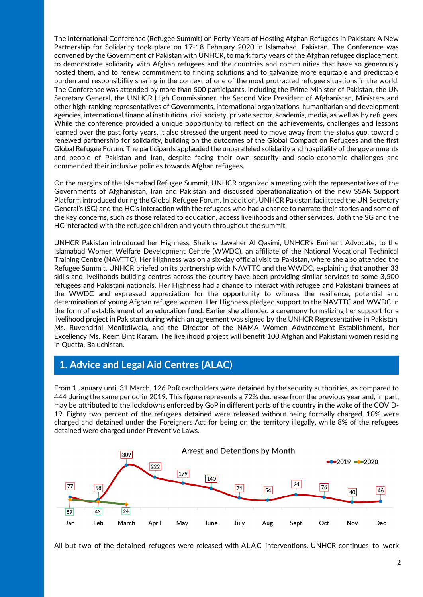The International Conference (Refugee Summit) on Forty Years of Hosting Afghan Refugees in Pakistan: A New Partnership for Solidarity took place on 17-18 February 2020 in Islamabad, Pakistan. The Conference was convened by the Government of Pakistan with UNHCR, to mark forty years of the Afghan refugee displacement, to demonstrate solidarity with Afghan refugees and the countries and communities that have so generously hosted them, and to renew commitment to finding solutions and to galvanize more equitable and predictable burden and responsibility sharing in the context of one of the most protracted refugee situations in the world. The Conference was attended by more than 500 participants, including the Prime Minister of Pakistan, the UN Secretary General, the UNHCR High Commissioner, the Second Vice President of Afghanistan, Ministers and other high-ranking representatives of Governments, international organizations, humanitarian and development agencies, international financial institutions, civil society, private sector, academia, media, as well as by refugees. While the conference provided a unique opportunity to reflect on the achievements, challenges and lessons learned over the past forty years, it also stressed the urgent need to move away from the *status quo*, toward a renewed partnership for solidarity, building on the outcomes of the Global Compact on Refugees and the first Global Refugee Forum. The participants applauded the unparalleled solidarity and hospitality of the governments and people of Pakistan and Iran, despite facing their own security and socio-economic challenges and commended their inclusive policies towards Afghan refugees.

On the margins of the Islamabad Refugee Summit, UNHCR organized a meeting with the representatives of the Governments of Afghanistan, Iran and Pakistan and discussed operationalization of the new SSAR Support Platform introduced during the Global Refugee Forum. In addition, UNHCR Pakistan facilitated the UN Secretary General's (SG) and the HC's interaction with the refugees who had a chance to narrate their stories and some of the key concerns, such as those related to education, access livelihoods and other services. Both the SG and the HC interacted with the refugee children and youth throughout the summit.

UNHCR Pakistan introduced her Highness, Sheikha Jawaher Al Qasimi, UNHCR's Eminent Advocate, to the Islamabad Women Welfare Development Centre (WWDC), an affiliate of the National Vocational Technical Training Centre (NAVTTC). Her Highness was on a six-day official visit to Pakistan, where she also attended the Refugee Summit. UNHCR briefed on its partnership with NAVTTC and the WWDC, explaining that another 33 skills and livelihoods building centres across the country have been providing similar services to some 3,500 refugees and Pakistani nationals. Her Highness had a chance to interact with refugee and Pakistani trainees at the WWDC and expressed appreciation for the opportunity to witness the resilience, potential and determination of young Afghan refugee women. Her Highness pledged support to the NAVTTC and WWDC in the form of establishment of an education fund. Earlier she attended a ceremony formalizing her support for a livelihood project in Pakistan during which an agreement was signed by the UNHCR Representative in Pakistan, Ms. Ruvendrini Menikdiwela, and the Director of the NAMA Women Advancement Establishment, her Excellency Ms. Reem Bint Karam. The livelihood project will benefit 100 Afghan and Pakistani women residing in Quetta, Baluchistan.

## **1. Advice and Legal Aid Centres (ALAC)**

From 1 January until 31 March, 126 PoR cardholders were detained by the security authorities, as compared to 444 during the same period in 2019. This figure represents a 72% decrease from the previous year and, in part, may be attributed to the lockdowns enforced by GoP in different parts of the country in the wake of the COVID-19. Eighty two percent of the refugees detained were released without being formally charged, 10% were charged and detained under the Foreigners Act for being on the territory illegally, while 8% of the refugees detained were charged under Preventive Laws.



All but two of the detained refugees were released with ALAC interventions. UNHCR continues to work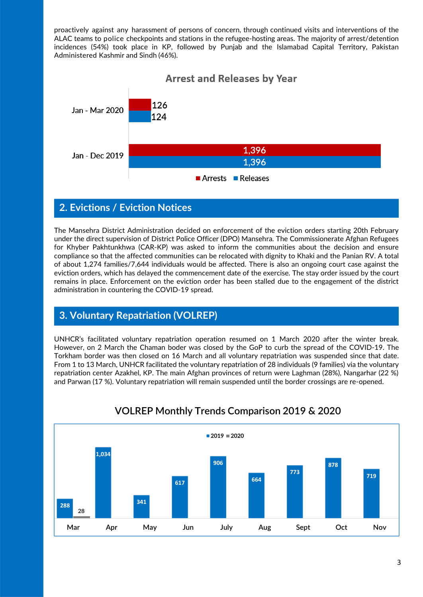proactively against any harassment of persons of concern, through continued visits and interventions of the ALAC teams to police checkpoints and stations in the refugee-hosting areas. The majority of arrest/detention incidences (54%) took place in KP, followed by Punjab and the Islamabad Capital Territory, Pakistan Administered Kashmir and Sindh (46%).



### **2. Evictions / Eviction Notices**

The Mansehra District Administration decided on enforcement of the eviction orders starting 20th February under the direct supervision of District Police Officer (DPO) Mansehra. The Commissionerate Afghan Refugees for Khyber Pakhtunkhwa (CAR-KP) was asked to inform the communities about the decision and ensure compliance so that the affected communities can be relocated with dignity to Khaki and the Panian RV. A total of about 1,274 families/7,644 individuals would be affected. There is also an ongoing court case against the eviction orders, which has delayed the commencement date of the exercise. The stay order issued by the court remains in place. Enforcement on the eviction order has been stalled due to the engagement of the district administration in countering the COVID-19 spread.

## **3. Voluntary Repatriation (VOLREP)**

UNHCR's facilitated voluntary repatriation operation resumed on 1 March 2020 after the winter break. However, on 2 March the Chaman boder was closed by the GoP to curb the spread of the COVID-19. The Torkham border was then closed on 16 March and all voluntary repatriation was suspended since that date. From 1 to 13 March, UNHCR facilitated the voluntary repatriation of 28 individuals (9 families) via the voluntary repatriation center Azakhel, KP. The main Afghan provinces of return were Laghman (28%), Nangarhar (22 %) and Parwan (17 %). Voluntary repatriation will remain suspended until the border crossings are re-opened.



# **VOLREP Monthly Trends Comparison 2019 & 2020**